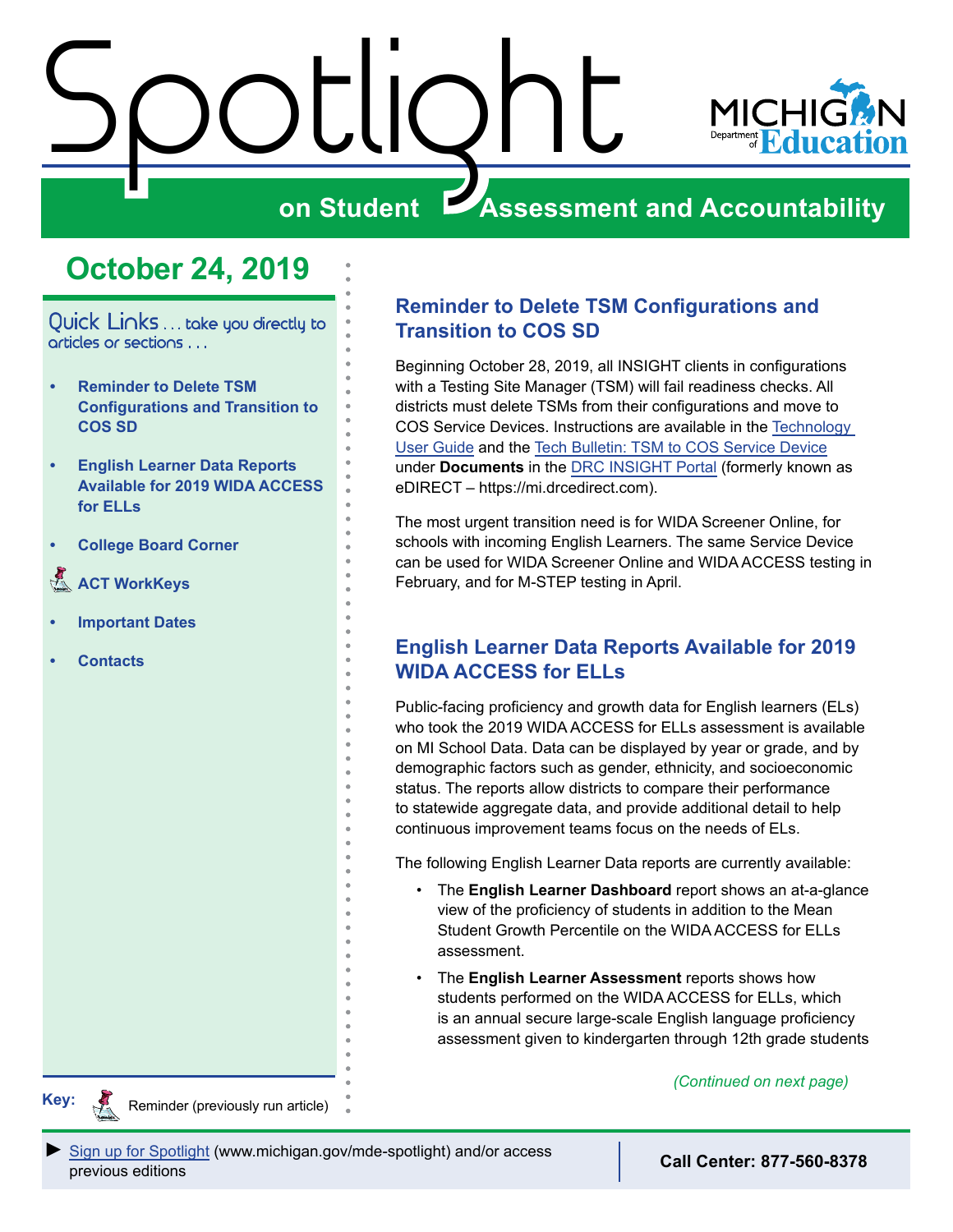<span id="page-0-0"></span>



# **on Student Assessment and Accountability**

# **October 24, 2019**

Quick Links . . . take you directly to articles or sections . . .

- **• Reminder to Delete TSM Configurations and Transition to COS SD**
- **• English Learner Data Reports Available for 2019 WIDA ACCESS for ELLs**
- **• [College Board Corner](#page-2-0)**
- **ACT WorkKeys**
- **• [Important Dates](#page-5-0)**
- **• [Contacts](#page-7-0)**

### **Reminder to Delete TSM Configurations and Transition to COS SD**

Beginning October 28, 2019, all INSIGHT clients in configurations with a Testing Site Manager (TSM) will fail readiness checks. All districts must delete TSMs from their configurations and move to COS Service Devices. Instructions are available in the [Technology](https://mi.drcedirect.com/Documents/Unsecure/Doc.aspx?id=8806189c-073b-459c-9f03-7203ea3a9467)  [User Guide](https://mi.drcedirect.com/Documents/Unsecure/Doc.aspx?id=8806189c-073b-459c-9f03-7203ea3a9467) and the [Tech Bulletin: TSM to COS Service Device](https://mi.drcedirect.com/Documents/Unsecure/Doc.aspx?id=32f6fd5d-a67b-4a15-9dcc-31db6e1356a2) under **Documents** in the [DRC INSIGHT Portal](https://mi.drcedirect.com) (formerly known as eDIRECT – https://mi.drcedirect.com).

The most urgent transition need is for WIDA Screener Online, for schools with incoming English Learners. The same Service Device can be used for WIDA Screener Online and WIDA ACCESS testing in February, and for M-STEP testing in April.

### **English Learner Data Reports Available for 2019 WIDA ACCESS for ELLs**

Public-facing proficiency and growth data for English learners (ELs) who took the 2019 WIDA ACCESS for ELLs assessment is available on MI School Data. Data can be displayed by year or grade, and by demographic factors such as gender, ethnicity, and socioeconomic status. The reports allow districts to compare their performance to statewide aggregate data, and provide additional detail to help continuous improvement teams focus on the needs of ELs.

The following English Learner Data reports are currently available:

- The **English Learner Dashboard** report shows an at-a-glance view of the proficiency of students in addition to the Mean Student Growth Percentile on the WIDA ACCESS for ELLs assessment.
- The **English Learner Assessment** reports shows how students performed on the WIDA ACCESS for ELLs, which is an annual secure large-scale English language proficiency assessment given to kindergarten through 12th grade students

*(Continued on next page)*



Reminders

Reminder (previously run article)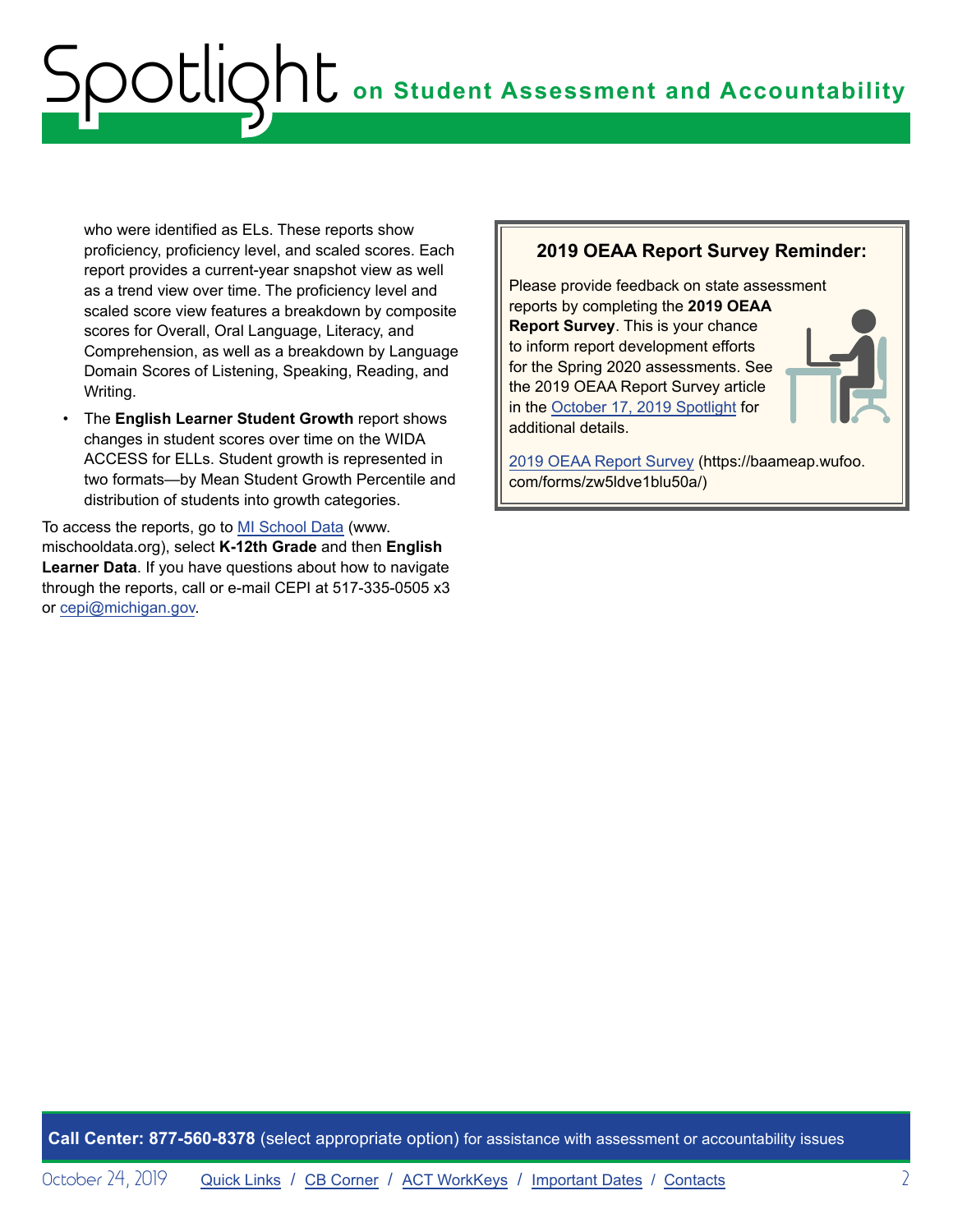who were identified as ELs. These reports show proficiency, proficiency level, and scaled scores. Each report provides a current-year snapshot view as well as a trend view over time. The proficiency level and scaled score view features a breakdown by composite scores for Overall, Oral Language, Literacy, and Comprehension, as well as a breakdown by Language Domain Scores of Listening, Speaking, Reading, and Writing.

• The **English Learner Student Growth** report shows changes in student scores over time on the WIDA ACCESS for ELLs. Student growth is represented in two formats—by Mean Student Growth Percentile and distribution of students into growth categories.

To access the reports, go to [MI School Data](http://www.mischooldata.org) (www. mischooldata.org), select **K-12th Grade** and then **English Learner Data**. If you have questions about how to navigate through the reports, call or e-mail CEPI at 517-335-0505 x3 or [cepi@michigan.gov](mailto:cepi%40michigan.gov?subject=).

#### **2019 OEAA Report Survey Reminder:**

Please provide feedback on state assessment reports by completing the **2019 OEAA Report Survey**. This is your chance to inform report development efforts for the Spring 2020 assessments. See the 2019 OEAA Report Survey article in the [October 17, 2019 Spotlight](https://www.michigan.gov/documents/mde/Spotlight_10-17-19_669076_7.pdf) for additional details.

[2019 OEAA Report Survey](https://baameap.wufoo.com/forms/zw5ldve1blu50a/) (https://baameap.wufoo. com/forms/zw5ldve1blu50a/)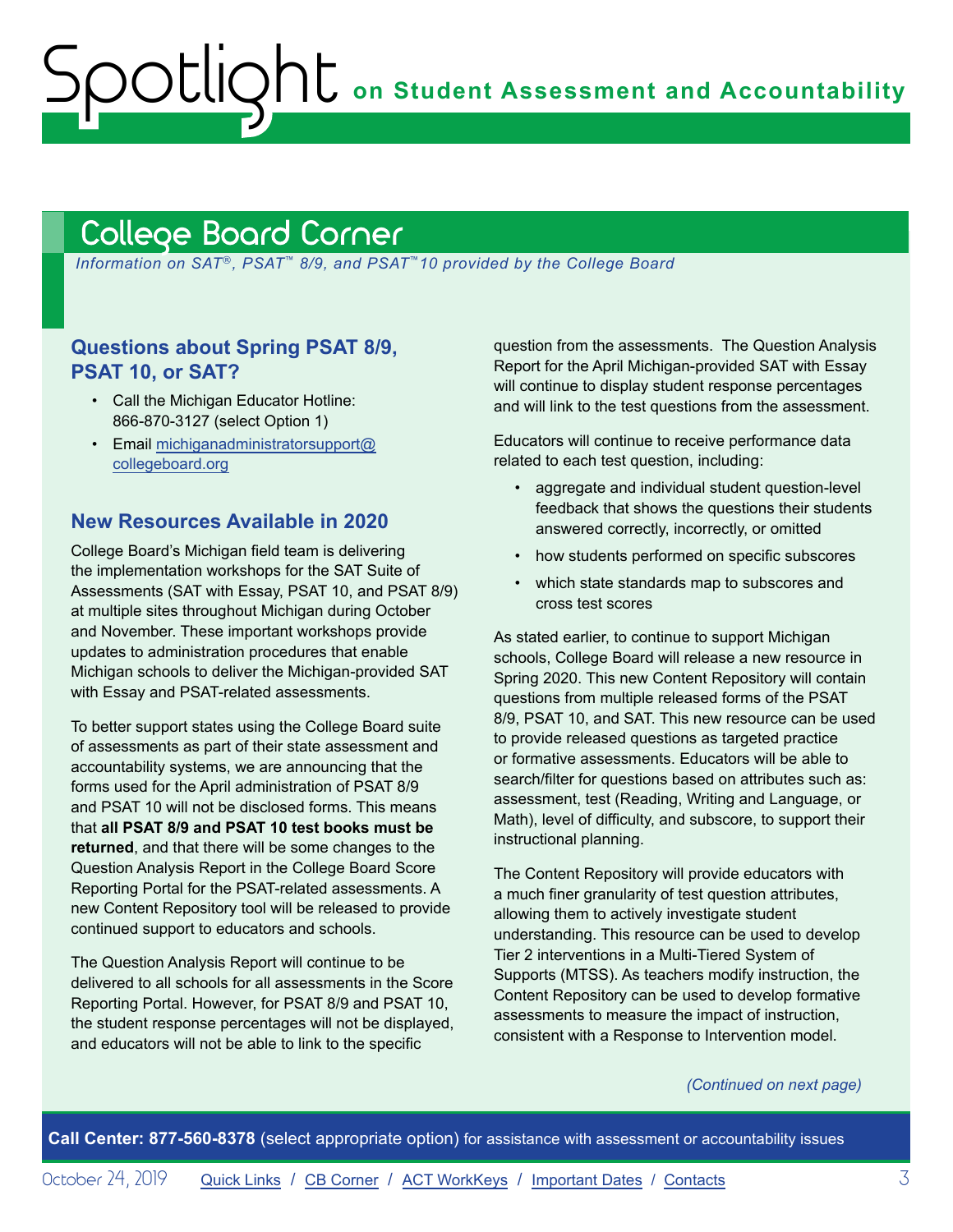**on Student Assessment and Accountability**

# <span id="page-2-1"></span>College Board Corner

<span id="page-2-0"></span>Spotlight

*Information on SAT*®*, PSAT*™ *8/9, and PSAT*™*10 provided by the College Board*

### **Questions about Spring PSAT 8/9, PSAT 10, or SAT?**

- Call the Michigan Educator Hotline: 866-870-3127 (select Option 1)
- Email [michiganadministratorsupport@](mailto:michiganadministratorsupport%40collegeboard.org?subject=) [collegeboard.org](mailto:michiganadministratorsupport%40collegeboard.org?subject=)

#### **New Resources Available in 2020**

College Board's Michigan field team is delivering the implementation workshops for the SAT Suite of Assessments (SAT with Essay, PSAT 10, and PSAT 8/9) at multiple sites throughout Michigan during October and November. These important workshops provide updates to administration procedures that enable Michigan schools to deliver the Michigan-provided SAT with Essay and PSAT-related assessments.

To better support states using the College Board suite of assessments as part of their state assessment and accountability systems, we are announcing that the forms used for the April administration of PSAT 8/9 and PSAT 10 will not be disclosed forms. This means that **all PSAT 8/9 and PSAT 10 test books must be returned**, and that there will be some changes to the Question Analysis Report in the College Board Score Reporting Portal for the PSAT-related assessments. A new Content Repository tool will be released to provide continued support to educators and schools.

The Question Analysis Report will continue to be delivered to all schools for all assessments in the Score Reporting Portal. However, for PSAT 8/9 and PSAT 10, the student response percentages will not be displayed, and educators will not be able to link to the specific

question from the assessments. The Question Analysis Report for the April Michigan-provided SAT with Essay will continue to display student response percentages and will link to the test questions from the assessment.

Educators will continue to receive performance data related to each test question, including:

- aggregate and individual student question-level feedback that shows the questions their students answered correctly, incorrectly, or omitted
- how students performed on specific subscores
- which state standards map to subscores and cross test scores

As stated earlier, to continue to support Michigan schools, College Board will release a new resource in Spring 2020. This new Content Repository will contain questions from multiple released forms of the PSAT 8/9, PSAT 10, and SAT. This new resource can be used to provide released questions as targeted practice or formative assessments. Educators will be able to search/filter for questions based on attributes such as: assessment, test (Reading, Writing and Language, or Math), level of difficulty, and subscore, to support their instructional planning.

The Content Repository will provide educators with a much finer granularity of test question attributes, allowing them to actively investigate student understanding. This resource can be used to develop Tier 2 interventions in a Multi-Tiered System of Supports (MTSS). As teachers modify instruction, the Content Repository can be used to develop formative assessments to measure the impact of instruction, consistent with a Response to Intervention model.

#### *(Continued on next page)*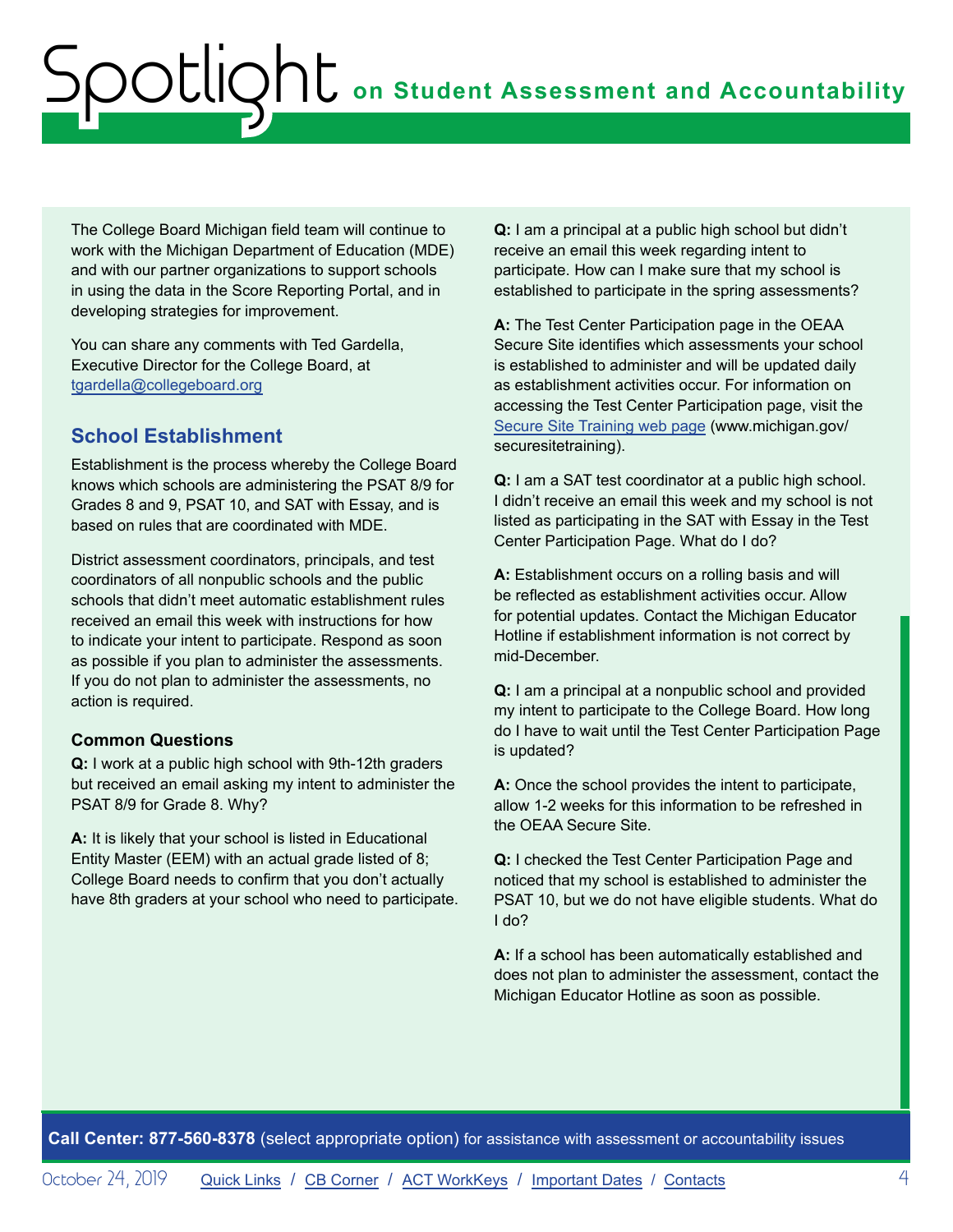The College Board Michigan field team will continue to work with the Michigan Department of Education (MDE) and with our partner organizations to support schools in using the data in the Score Reporting Portal, and in developing strategies for improvement.

You can share any comments with Ted Gardella, Executive Director for the College Board, at [tgardella@collegeboard.org](mailto:tgardella%40collegeboard.org?subject=)

### **School Establishment**

Establishment is the process whereby the College Board knows which schools are administering the PSAT 8/9 for Grades 8 and 9, PSAT 10, and SAT with Essay, and is based on rules that are coordinated with MDE.

District assessment coordinators, principals, and test coordinators of all nonpublic schools and the public schools that didn't meet automatic establishment rules received an email this week with instructions for how to indicate your intent to participate. Respond as soon as possible if you plan to administer the assessments. If you do not plan to administer the assessments, no action is required.

#### **Common Questions**

**Q:** I work at a public high school with 9th-12th graders but received an email asking my intent to administer the PSAT 8/9 for Grade 8. Why?

**A:** It is likely that your school is listed in Educational Entity Master (EEM) with an actual grade listed of 8; College Board needs to confirm that you don't actually have 8th graders at your school who need to participate. **Q:** I am a principal at a public high school but didn't receive an email this week regarding intent to participate. How can I make sure that my school is established to participate in the spring assessments?

**A:** The Test Center Participation page in the OEAA Secure Site identifies which assessments your school is established to administer and will be updated daily as establishment activities occur. For information on accessing the Test Center Participation page, visit the [Secure Site Training web page](http://www.michigan.gov/securesitetraining) (www.michigan.gov/ securesitetraining).

**Q:** I am a SAT test coordinator at a public high school. I didn't receive an email this week and my school is not listed as participating in the SAT with Essay in the Test Center Participation Page. What do I do?

**A:** Establishment occurs on a rolling basis and will be reflected as establishment activities occur. Allow for potential updates. Contact the Michigan Educator Hotline if establishment information is not correct by mid-December.

**Q:** I am a principal at a nonpublic school and provided my intent to participate to the College Board. How long do I have to wait until the Test Center Participation Page is updated?

**A:** Once the school provides the intent to participate, allow 1-2 weeks for this information to be refreshed in the OEAA Secure Site.

**Q:** I checked the Test Center Participation Page and noticed that my school is established to administer the PSAT 10, but we do not have eligible students. What do I do?

**A:** If a school has been automatically established and does not plan to administer the assessment, contact the Michigan Educator Hotline as soon as possible.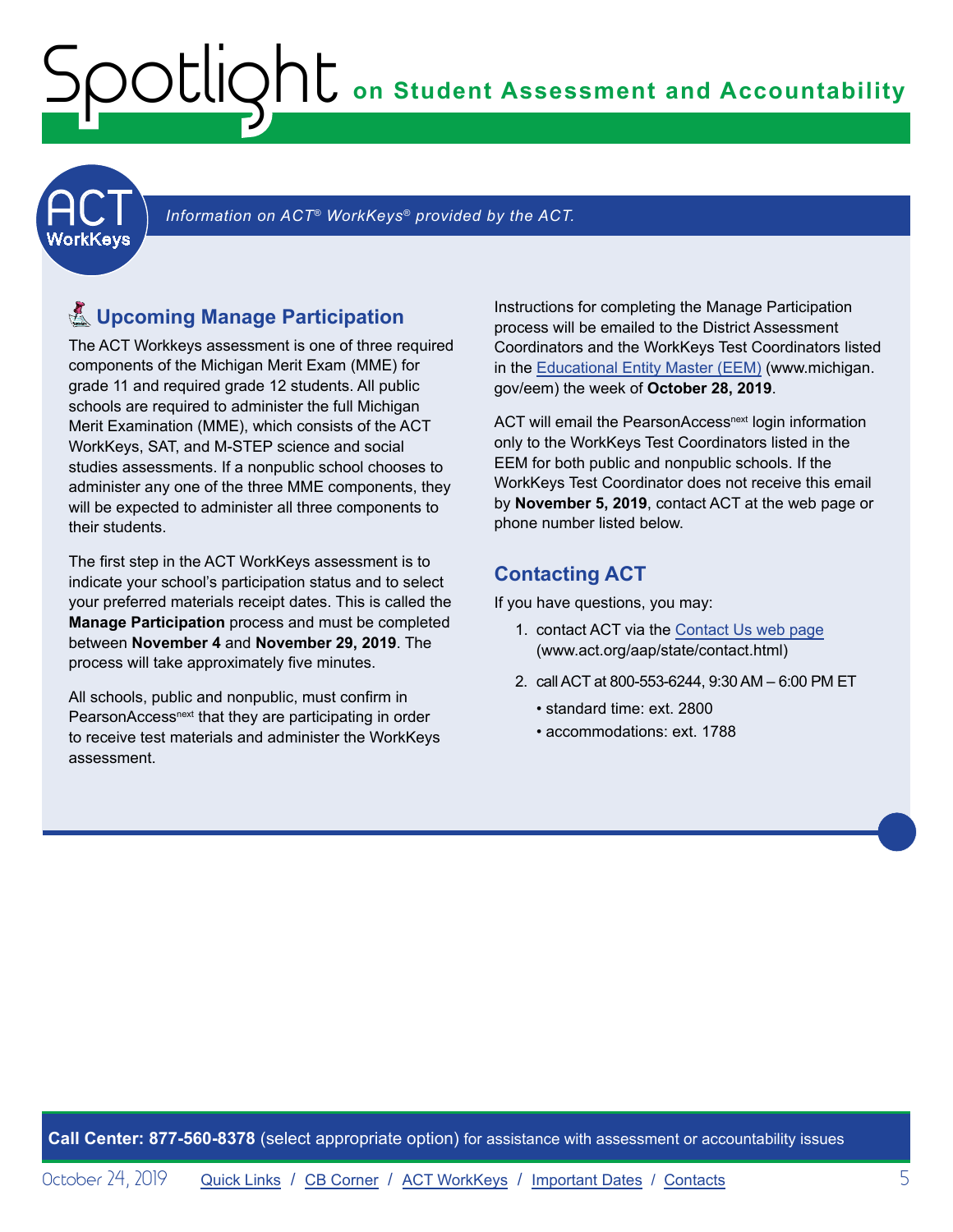<span id="page-4-1"></span><span id="page-4-0"></span>**ACT** 

Information on ACT<sup>®</sup> WorkKeys<sup>®</sup> provided by the ACT.

# $\S$  Upcoming Manage Participation

The ACT Workkeys assessment is one of three required components of the Michigan Merit Exam (MME) for grade 11 and required grade 12 students. All public schools are required to administer the full Michigan Merit Examination (MME), which consists of the ACT WorkKeys, SAT, and M-STEP science and social studies assessments. If a nonpublic school chooses to administer any one of the three MME components, they will be expected to administer all three components to their students.

The first step in the ACT WorkKeys assessment is to indicate your school's participation status and to select your preferred materials receipt dates. This is called the **Manage Participation** process and must be completed between **November 4** and **November 29, 2019**. The process will take approximately five minutes.

All schools, public and nonpublic, must confirm in PearsonAccess<sup>next</sup> that they are participating in order to receive test materials and administer the WorkKeys assessment.

Instructions for completing the Manage Participation process will be emailed to the District Assessment Coordinators and the WorkKeys Test Coordinators listed in the [Educational Entity Master \(EEM\)](www.michigan.gov/eem) (www.michigan. gov/eem) the week of **October 28, 2019**.

ACT will email the PearsonAccess<sup>next</sup> login information only to the WorkKeys Test Coordinators listed in the EEM for both public and nonpublic schools. If the WorkKeys Test Coordinator does not receive this email by **November 5, 2019**, contact ACT at the web page or phone number listed below.

## **Contacting ACT**

If you have questions, you may:

- 1. contact ACT via the [Contact Us web page](http://www.act.org/aap/state/contact.html)  [\(www.act.org/aap/state/contact.html](https://www.act.org/aap/state/contact.html))
- 2. call ACT at 800-553-6244, 9:30 AM 6:00 PM ET
	- standard time: ext. 2800
	- accommodations: ext. 1788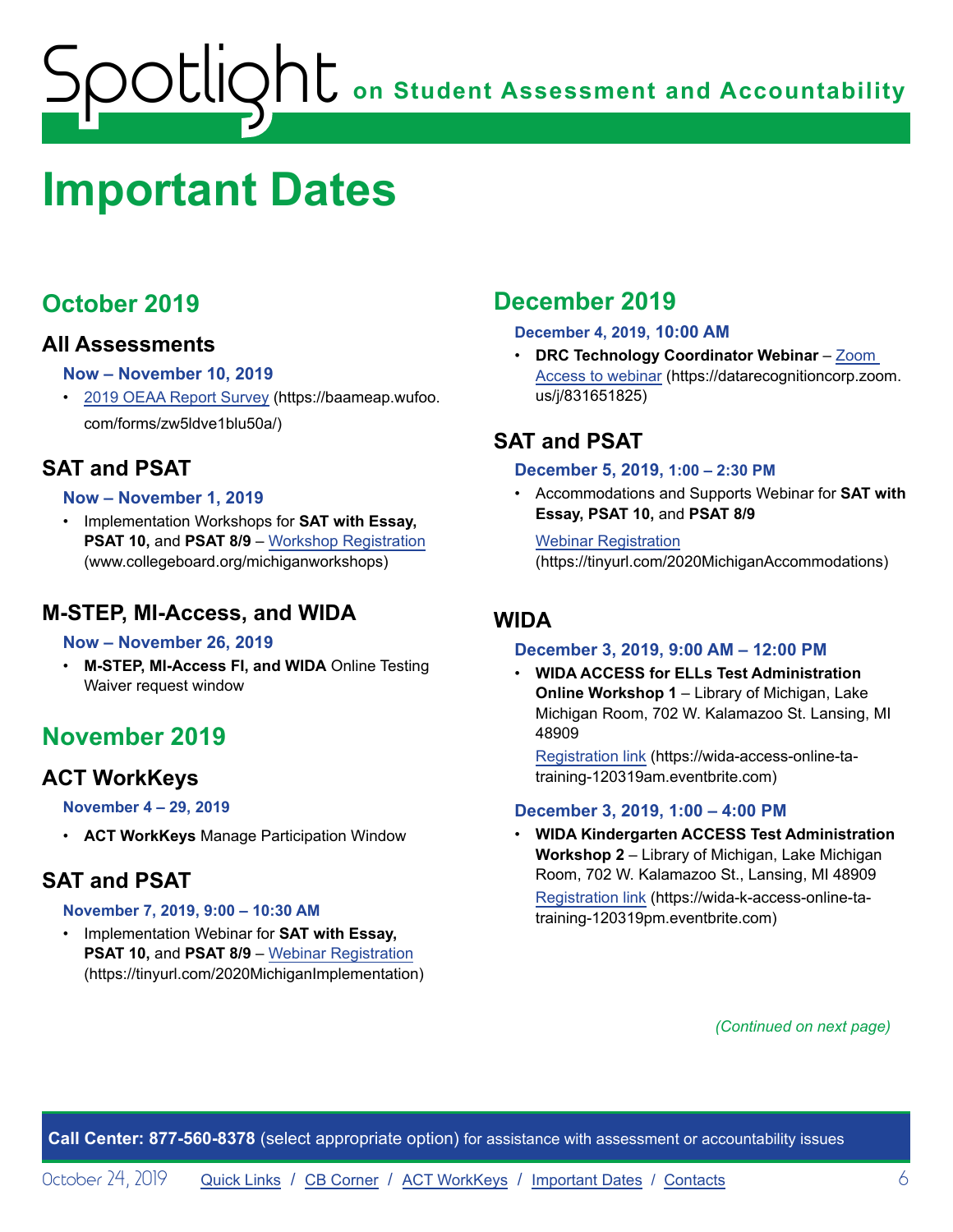# <span id="page-5-1"></span><span id="page-5-0"></span>**Important Dates**

# **October 2019**

### **All Assessments**

#### **Now – November 10, 2019**

• [2019 OEAA Report Survey](https://baameap.wufoo.com/forms/zw5ldve1blu50a/) (https://baameap.wufoo. com/forms/zw5ldve1blu50a/)

# **SAT and PSAT**

#### **Now – November 1, 2019**

• Implementation Workshops for **SAT with Essay, PSAT 10, and PSAT 8/9 – [Workshop Registration](http://www.collegeboard.org/michiganworkshops)** (www.collegeboard.org/michiganworkshops)

## **M-STEP, MI-Access, and WIDA**

#### **Now – November 26, 2019**

• **M-STEP, MI-Access FI, and WIDA** Online Testing Waiver request window

# **November 2019**

## **ACT WorkKeys**

#### **November 4 – 29, 2019**

• **ACT WorkKeys** Manage Participation Window

# **SAT and PSAT**

#### **November 7, 2019, 9:00 – 10:30 AM**

• Implementation Webinar for **SAT with Essay, PSAT 10,** and **PSAT 8/9** – [Webinar Registration](https://tinyurl.com/2020MichiganImplementation) (https://tinyurl.com/2020MichiganImplementation)

# **December 2019**

#### **December 4, 2019, 10:00 AM**

• **DRC Technology Coordinator Webinar** – [Zoom](https://datarecognitioncorp.zoom.us/j/831651825)  [Access to webinar](https://datarecognitioncorp.zoom.us/j/831651825) (https://datarecognitioncorp.zoom. us/j/831651825)

# **SAT and PSAT**

#### **December 5, 2019, 1:00 – 2:30 PM**

• Accommodations and Supports Webinar for **SAT with Essay, PSAT 10,** and **PSAT 8/9**

Webinar [Registration](https://tinyurl.com/2020MichiganAccommodations) (https://tinyurl.com/2020MichiganAccommodations)

### **WIDA**

#### **December 3, 2019, 9:00 AM – 12:00 PM**

• **WIDA ACCESS for ELLs Test Administration Online Workshop 1** – Library of Michigan, Lake Michigan Room, 702 W. Kalamazoo St. Lansing, MI 48909

[Registration link](https://wida-access-online-ta-training-120319am.eventbrite.com) (https://wida-access-online-tatraining-120319am.eventbrite.com)

#### **December 3, 2019, 1:00 – 4:00 PM**

• **WIDA Kindergarten ACCESS Test Administration Workshop 2** – Library of Michigan, Lake Michigan Room, 702 W. Kalamazoo St., Lansing, MI 48909 [Registration link](https://wida-k-access-online-ta-training-120319pm.eventbrite.com) (https://wida-k-access-online-tatraining-120319pm.eventbrite.com)

*(Continued on next page)*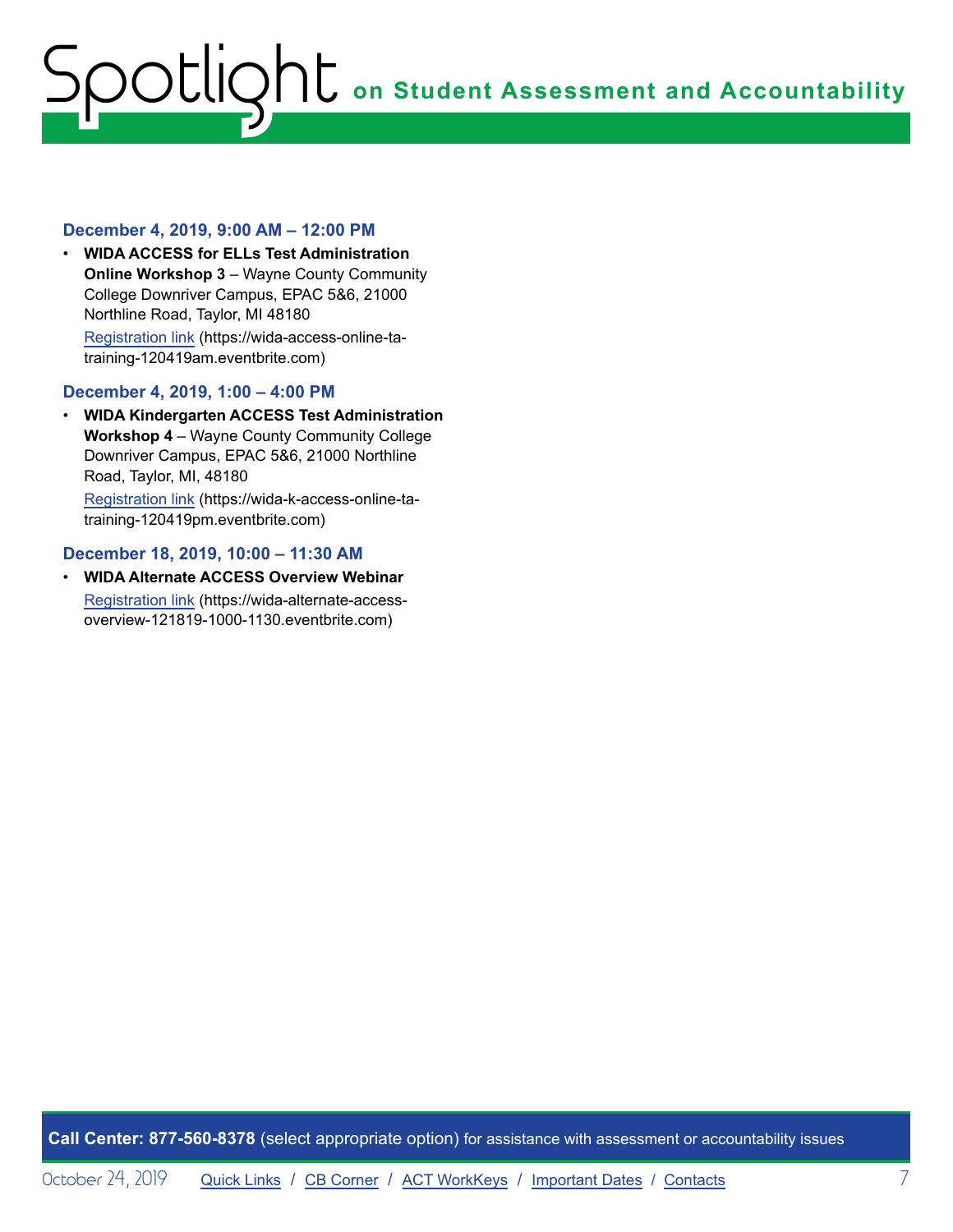#### **December 4, 2019, 9:00 AM – 12:00 PM**

• **WIDA ACCESS for ELLs Test Administration Online Workshop 3 - Wayne County Community** College Downriver Campus, EPAC 5&6, 21000 Northline Road, Taylor, MI 48180 [Registration link](https://wida-access-online-ta-training-120419am.eventbrite.com) (https://wida-access-online-tatraining-120419am.eventbrite.com)

#### **December 4, 2019, 1:00 – 4:00 PM**

• **WIDA Kindergarten ACCESS Test Administration Workshop 4** – Wayne County Community College Downriver Campus, EPAC 5&6, 21000 Northline Road, Taylor, MI, 48180

[Registration link](https://wida-k-access-online-ta-training-120419pm.eventbrite.com) (https://wida-k-access-online-tatraining-120419pm.eventbrite.com)

#### **December 18, 2019, 10:00 – 11:30 AM**

• **WIDA Alternate ACCESS Overview Webinar** [Registration link](https://wida-alternate-access-overview-121819-1000-1130.eventbrite.com) (https://wida-alternate-accessoverview-121819-1000-1130.eventbrite.com)